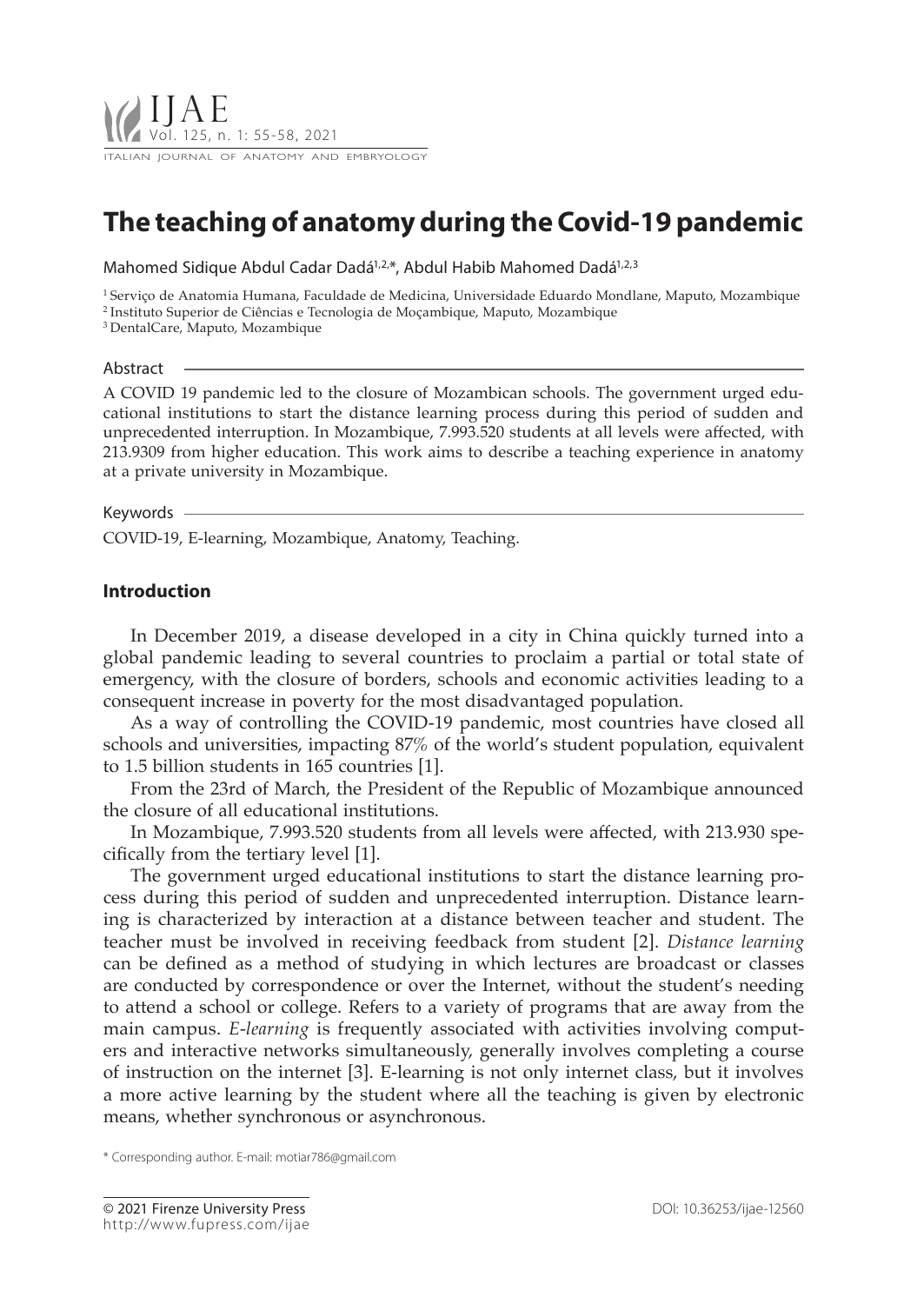# **The teaching of anatomy during the Covid-19 pandemic**

Mahomed Sidique Abdul Cadar Dadá<sup>1,2,\*</sup>, Abdul Habib Mahomed Dadá<sup>1,2,3</sup>

1 Serviço de Anatomia Humana, Faculdade de Medicina, Universidade Eduardo Mondlane, Maputo, Mozambique

2 Instituto Superior de Ciências e Tecnologia de Moçambique, Maputo, Mozambique

3 DentalCare, Maputo, Mozambique

#### Abstract

A COVID 19 pandemic led to the closure of Mozambican schools. The government urged educational institutions to start the distance learning process during this period of sudden and unprecedented interruption. In Mozambique, 7.993.520 students at all levels were affected, with 213.9309 from higher education. This work aims to describe a teaching experience in anatomy at a private university in Mozambique.

### Keywords

COVID-19, E-learning, Mozambique, Anatomy, Teaching.

## **Introduction**

In December 2019, a disease developed in a city in China quickly turned into a global pandemic leading to several countries to proclaim a partial or total state of emergency, with the closure of borders, schools and economic activities leading to a consequent increase in poverty for the most disadvantaged population.

As a way of controlling the COVID-19 pandemic, most countries have closed all schools and universities, impacting 87% of the world's student population, equivalent to 1.5 billion students in 165 countries [1].

From the 23rd of March, the President of the Republic of Mozambique announced the closure of all educational institutions.

In Mozambique, 7.993.520 students from all levels were affected, with 213.930 specifically from the tertiary level [1].

The government urged educational institutions to start the distance learning process during this period of sudden and unprecedented interruption. Distance learning is characterized by interaction at a distance between teacher and student. The teacher must be involved in receiving feedback from student [2]. *Distance learning* can be defined as a method of studying in which lectures are broadcast or classes are conducted by correspondence or over the Internet, without the student's needing to attend a school or college. Refers to a variety of programs that are away from the main campus. *E-learning* is frequently associated with activities involving computers and interactive networks simultaneously, generally involves completing a course of instruction on the internet [3]. E-learning is not only internet class, but it involves a more active learning by the student where all the teaching is given by electronic means, whether synchronous or asynchronous.

\* Corresponding author. E-mail: motiar786@gmail.com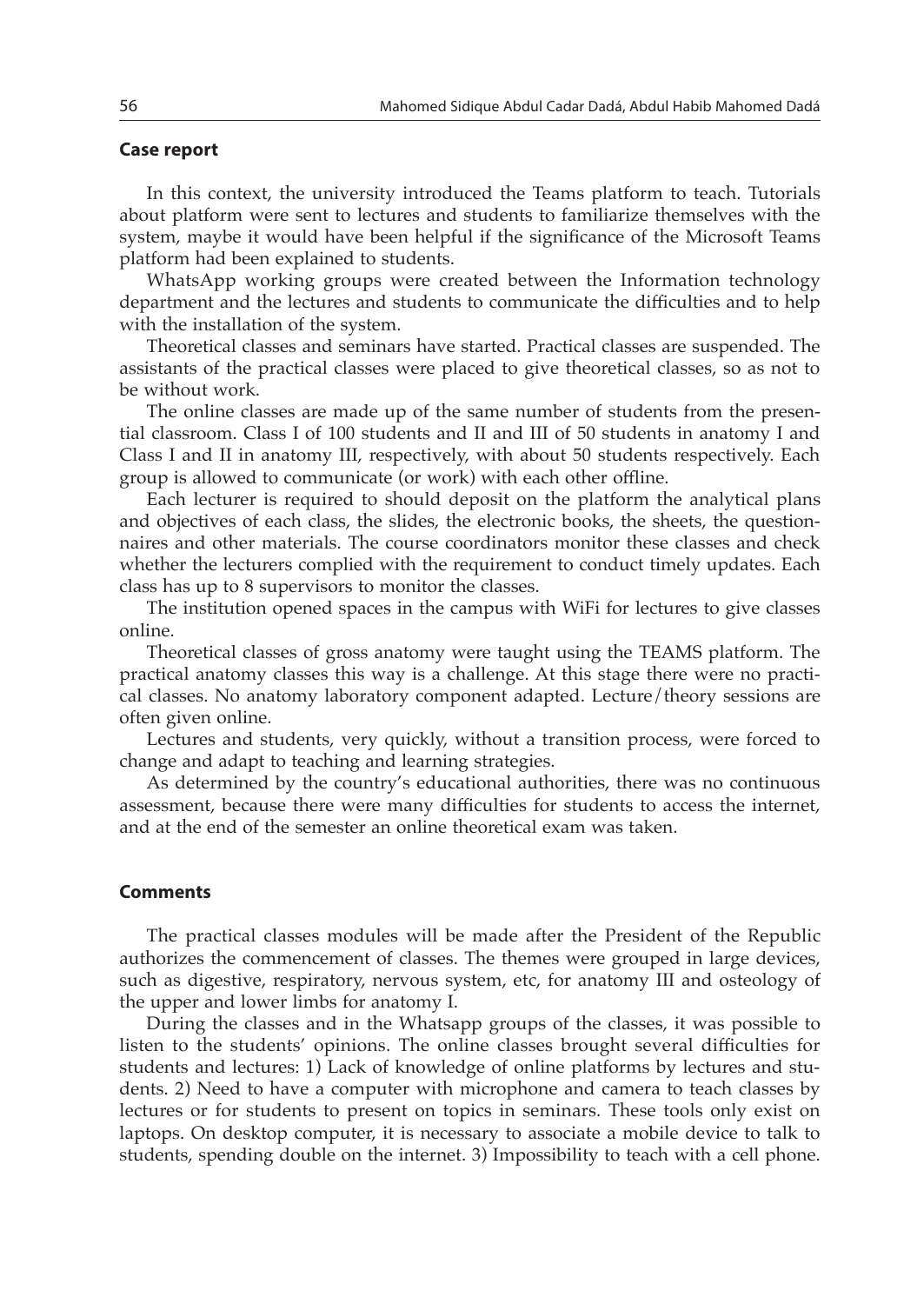## **Case report**

In this context, the university introduced the Teams platform to teach. Tutorials about platform were sent to lectures and students to familiarize themselves with the system, maybe it would have been helpful if the significance of the Microsoft Teams platform had been explained to students.

WhatsApp working groups were created between the Information technology department and the lectures and students to communicate the difficulties and to help with the installation of the system.

Theoretical classes and seminars have started. Practical classes are suspended. The assistants of the practical classes were placed to give theoretical classes, so as not to be without work.

The online classes are made up of the same number of students from the presential classroom. Class I of 100 students and II and III of 50 students in anatomy I and Class I and II in anatomy III, respectively, with about 50 students respectively. Each group is allowed to communicate (or work) with each other offline.

Each lecturer is required to should deposit on the platform the analytical plans and objectives of each class, the slides, the electronic books, the sheets, the questionnaires and other materials. The course coordinators monitor these classes and check whether the lecturers complied with the requirement to conduct timely updates. Each class has up to 8 supervisors to monitor the classes.

The institution opened spaces in the campus with WiFi for lectures to give classes online.

Theoretical classes of gross anatomy were taught using the TEAMS platform. The practical anatomy classes this way is a challenge. At this stage there were no practical classes. No anatomy laboratory component adapted. Lecture/theory sessions are often given online.

Lectures and students, very quickly, without a transition process, were forced to change and adapt to teaching and learning strategies.

As determined by the country's educational authorities, there was no continuous assessment, because there were many difficulties for students to access the internet, and at the end of the semester an online theoretical exam was taken.

## **Comments**

The practical classes modules will be made after the President of the Republic authorizes the commencement of classes. The themes were grouped in large devices, such as digestive, respiratory, nervous system, etc, for anatomy III and osteology of the upper and lower limbs for anatomy I.

During the classes and in the Whatsapp groups of the classes, it was possible to listen to the students' opinions. The online classes brought several difficulties for students and lectures: 1) Lack of knowledge of online platforms by lectures and students. 2) Need to have a computer with microphone and camera to teach classes by lectures or for students to present on topics in seminars. These tools only exist on laptops. On desktop computer, it is necessary to associate a mobile device to talk to students, spending double on the internet. 3) Impossibility to teach with a cell phone.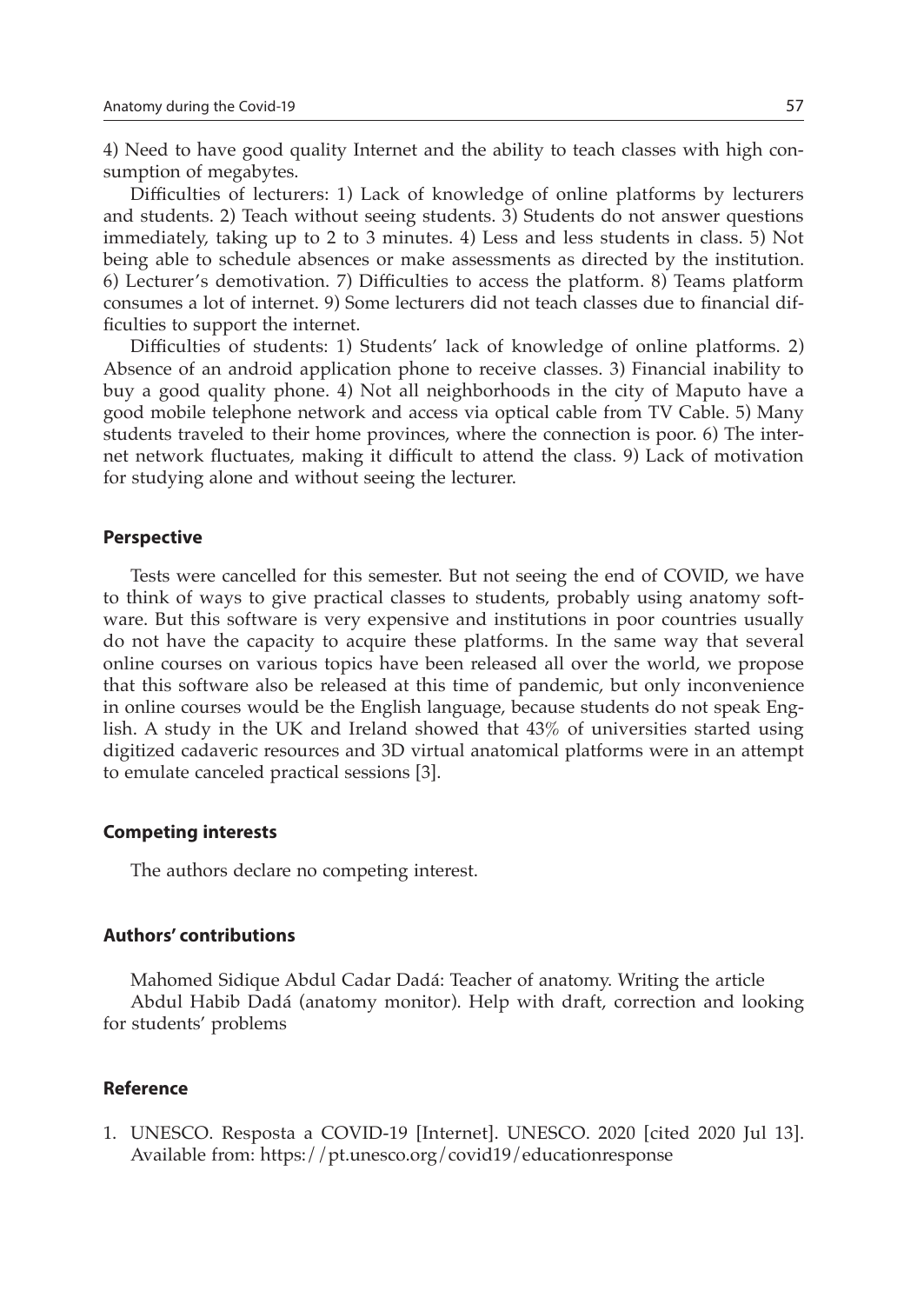4) Need to have good quality Internet and the ability to teach classes with high consumption of megabytes.

Difficulties of lecturers: 1) Lack of knowledge of online platforms by lecturers and students. 2) Teach without seeing students. 3) Students do not answer questions immediately, taking up to 2 to 3 minutes. 4) Less and less students in class. 5) Not being able to schedule absences or make assessments as directed by the institution. 6) Lecturer's demotivation. 7) Difficulties to access the platform. 8) Teams platform consumes a lot of internet. 9) Some lecturers did not teach classes due to financial difficulties to support the internet.

Difficulties of students: 1) Students' lack of knowledge of online platforms. 2) Absence of an android application phone to receive classes. 3) Financial inability to buy a good quality phone. 4) Not all neighborhoods in the city of Maputo have a good mobile telephone network and access via optical cable from TV Cable. 5) Many students traveled to their home provinces, where the connection is poor. 6) The internet network fluctuates, making it difficult to attend the class. 9) Lack of motivation for studying alone and without seeing the lecturer.

### **Perspective**

Tests were cancelled for this semester. But not seeing the end of COVID, we have to think of ways to give practical classes to students, probably using anatomy software. But this software is very expensive and institutions in poor countries usually do not have the capacity to acquire these platforms. In the same way that several online courses on various topics have been released all over the world, we propose that this software also be released at this time of pandemic, but only inconvenience in online courses would be the English language, because students do not speak English. A study in the UK and Ireland showed that 43% of universities started using digitized cadaveric resources and 3D virtual anatomical platforms were in an attempt to emulate canceled practical sessions [3].

#### **Competing interests**

The authors declare no competing interest.

## **Authors' contributions**

Mahomed Sidique Abdul Cadar Dadá: Teacher of anatomy. Writing the article Abdul Habib Dadá (anatomy monitor). Help with draft, correction and looking for students' problems

## **Reference**

1. UNESCO. Resposta a COVID-19 [Internet]. UNESCO. 2020 [cited 2020 Jul 13]. Available from: https://pt.unesco.org/covid19/educationresponse